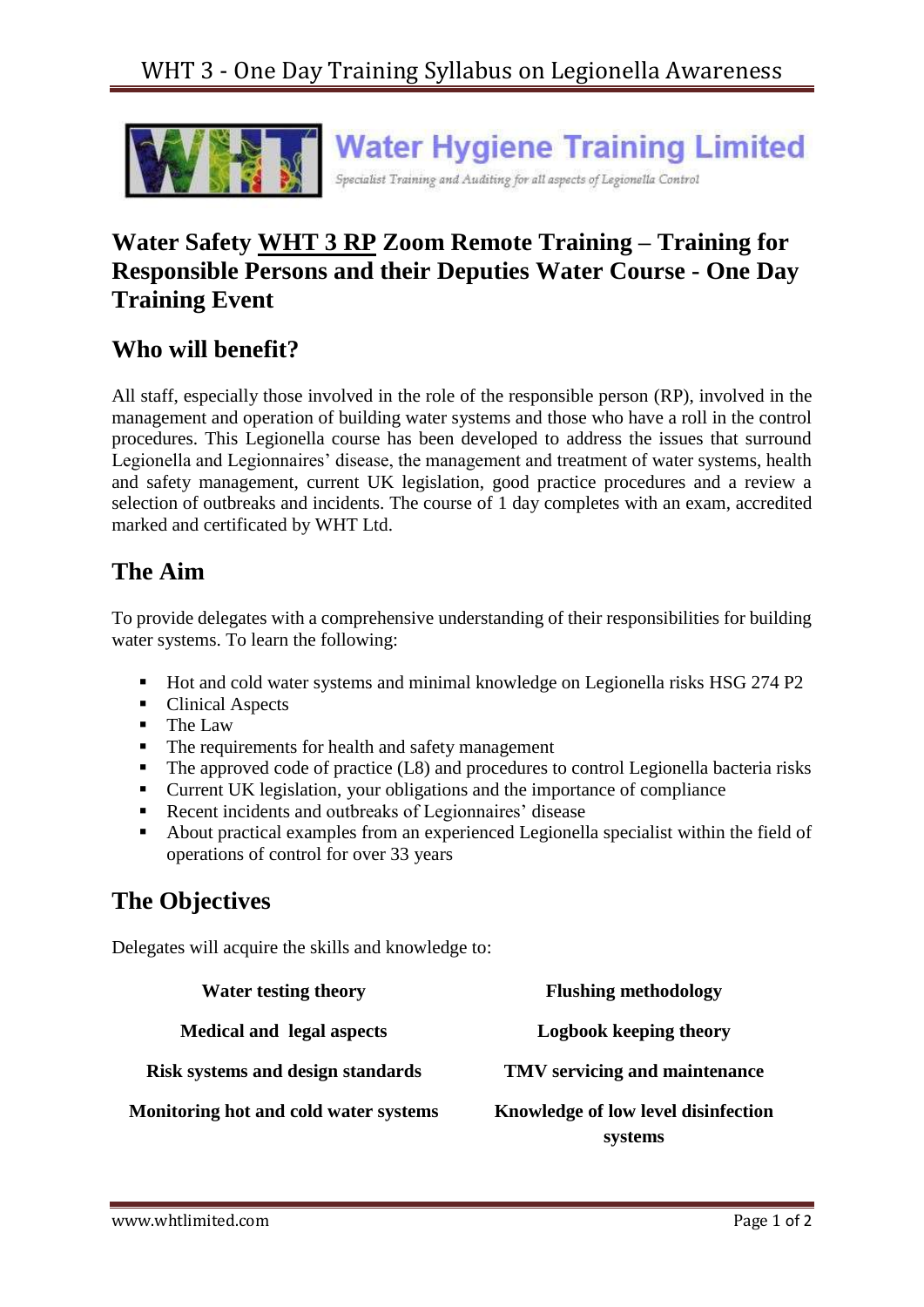

## **Water Safety WHT 3 RP Zoom Remote Training – Training for Responsible Persons and their Deputies Water Course - One Day Training Event**

#### **Who will benefit?**

All staff, especially those involved in the role of the responsible person (RP), involved in the management and operation of building water systems and those who have a roll in the control procedures. This Legionella course has been developed to address the issues that surround Legionella and Legionnaires' disease, the management and treatment of water systems, health and safety management, current UK legislation, good practice procedures and a review a selection of outbreaks and incidents. The course of 1 day completes with an exam, accredited marked and certificated by WHT Ltd.

#### **The Aim**

To provide delegates with a comprehensive understanding of their responsibilities for building water systems. To learn the following:

- Hot and cold water systems and minimal knowledge on Legionella risks HSG 274 P2
- Clinical Aspects
- The Law
- The requirements for health and safety management
- $\blacksquare$  The approved code of practice (L8) and procedures to control Legionella bacteria risks
- Current UK legislation, your obligations and the importance of compliance
- Recent incidents and outbreaks of Legionnaires' disease
- About practical examples from an experienced Legionella specialist within the field of operations of control for over 33 years

# **The Objectives**

Delegates will acquire the skills and knowledge to:

| <b>Water testing theory</b>              | <b>Flushing methodology</b>                    |
|------------------------------------------|------------------------------------------------|
| <b>Medical and legal aspects</b>         | Logbook keeping theory                         |
| <b>Risk systems and design standards</b> | TMV servicing and maintenance                  |
| Monitoring hot and cold water systems    | Knowledge of low level disinfection<br>systems |